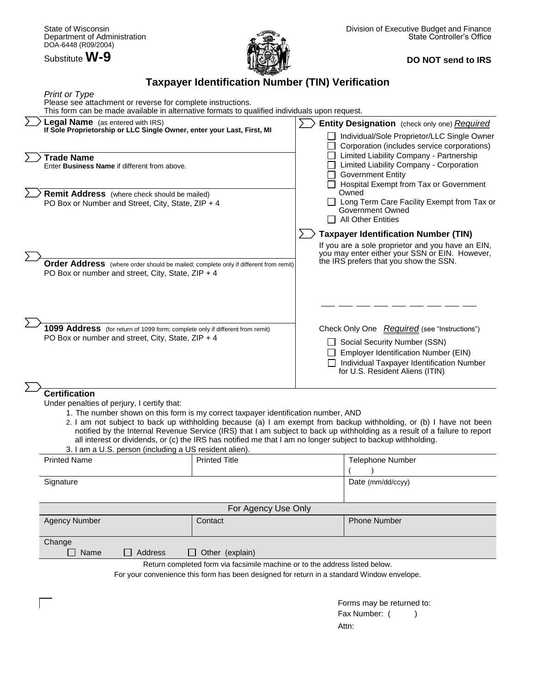Substitute **W-9**



# **DO NOT send to IRS**

# **Taxpayer Identification Number (TIN) Verification**

| <b>Print or Type</b><br>Please see attachment or reverse for complete instructions.<br>This form can be made available in alternative formats to qualified individuals upon request.                                |                                                                             |                                                                                                                                                                                                                                                                                                                                                                                                                  |
|---------------------------------------------------------------------------------------------------------------------------------------------------------------------------------------------------------------------|-----------------------------------------------------------------------------|------------------------------------------------------------------------------------------------------------------------------------------------------------------------------------------------------------------------------------------------------------------------------------------------------------------------------------------------------------------------------------------------------------------|
| Legal Name (as entered with IRS)<br>If Sole Proprietorship or LLC Single Owner, enter your Last, First, MI                                                                                                          |                                                                             | Entity Designation (check only one) Required<br>Individual/Sole Proprietor/LLC Single Owner<br>Corporation (includes service corporations)<br>Limited Liability Company - Partnership<br>Limited Liability Company - Corporation<br><b>Government Entity</b><br>Hospital Exempt from Tax or Government<br>Owned<br>□ Long Term Care Facility Exempt from Tax or<br>Government Owned<br><b>All Other Entities</b> |
| <b>Trade Name</b><br>Enter <b>Business Name</b> if different from above.                                                                                                                                            |                                                                             |                                                                                                                                                                                                                                                                                                                                                                                                                  |
| <b>Remit Address</b> (where check should be mailed)<br>PO Box or Number and Street, City, State, ZIP + 4                                                                                                            |                                                                             |                                                                                                                                                                                                                                                                                                                                                                                                                  |
|                                                                                                                                                                                                                     |                                                                             | <b>Taxpayer Identification Number (TIN)</b>                                                                                                                                                                                                                                                                                                                                                                      |
| Order Address (where order should be mailed; complete only if different from remit)<br>PO Box or number and street, City, State, ZIP + 4                                                                            |                                                                             | If you are a sole proprietor and you have an EIN,<br>you may enter either your SSN or EIN. However,<br>the IRS prefers that you show the SSN.                                                                                                                                                                                                                                                                    |
|                                                                                                                                                                                                                     |                                                                             |                                                                                                                                                                                                                                                                                                                                                                                                                  |
| 1099 Address (for return of 1099 form; complete only if different from remit)<br>PO Box or number and street, City, State, ZIP + 4                                                                                  |                                                                             | Check Only One Required (see "Instructions")<br>Social Security Number (SSN)                                                                                                                                                                                                                                                                                                                                     |
|                                                                                                                                                                                                                     |                                                                             | <b>Employer Identification Number (EIN)</b><br>Individual Taxpayer Identification Number<br>for U.S. Resident Aliens (ITIN)                                                                                                                                                                                                                                                                                      |
| <b>Certification</b><br>Under penalties of perjury, I certify that:<br>1. The number shown on this form is my correct taxpayer identification number, AND<br>3. I am a U.S. person (including a US resident alien). |                                                                             | 2. I am not subject to back up withholding because (a) I am exempt from backup withholding, or (b) I have not been<br>notified by the Internal Revenue Service (IRS) that I am subject to back up withholding as a result of a failure to report<br>all interest or dividends, or (c) the IRS has notified me that I am no longer subject to backup withholding.                                                 |
| <b>Printed Name</b>                                                                                                                                                                                                 | <b>Printed Title</b>                                                        | Telephone Number                                                                                                                                                                                                                                                                                                                                                                                                 |
| Signature                                                                                                                                                                                                           |                                                                             | Date (mm/dd/ccyy)                                                                                                                                                                                                                                                                                                                                                                                                |
|                                                                                                                                                                                                                     | For Agency Use Only                                                         |                                                                                                                                                                                                                                                                                                                                                                                                                  |
| <b>Agency Number</b>                                                                                                                                                                                                | Contact                                                                     | <b>Phone Number</b>                                                                                                                                                                                                                                                                                                                                                                                              |
|                                                                                                                                                                                                                     |                                                                             |                                                                                                                                                                                                                                                                                                                                                                                                                  |
| Change<br>Name<br>Address                                                                                                                                                                                           | Other (explain)                                                             |                                                                                                                                                                                                                                                                                                                                                                                                                  |
|                                                                                                                                                                                                                     | Return completed form via facsimile machine or to the address listed below. |                                                                                                                                                                                                                                                                                                                                                                                                                  |
|                                                                                                                                                                                                                     |                                                                             | For your convenience this form has been designed for return in a standard Window envelope.                                                                                                                                                                                                                                                                                                                       |
|                                                                                                                                                                                                                     |                                                                             | Forms may be returned to:                                                                                                                                                                                                                                                                                                                                                                                        |
|                                                                                                                                                                                                                     |                                                                             | Fax Number: (                                                                                                                                                                                                                                                                                                                                                                                                    |
|                                                                                                                                                                                                                     |                                                                             | Attn:                                                                                                                                                                                                                                                                                                                                                                                                            |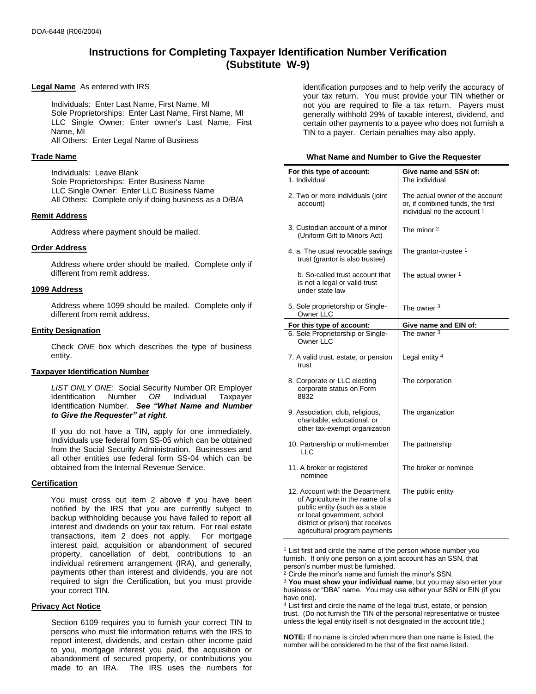# **Instructions for Completing Taxpayer Identification Number Verification (Substitute W-9)**

#### **Legal Name** As entered with IRS

Individuals: Enter Last Name, First Name, MI Sole Proprietorships: Enter Last Name, First Name, MI LLC Single Owner: Enter owner's Last Name, First Name, MI All Others: Enter Legal Name of Business

#### **Trade Name**

Individuals: Leave Blank Sole Proprietorships: Enter Business Name LLC Single Owner: Enter LLC Business Name All Others: Complete only if doing business as a D/B/A

## **Remit Address**

Address where payment should be mailed.

## **Order Address**

Address where order should be mailed. Complete only if different from remit address.

## **1099 Address**

Address where 1099 should be mailed. Complete only if different from remit address.

## **Entity Designation**

Check *ONE* box which describes the type of business entity.

## **Taxpayer Identification Number**

*LIST ONLY ONE:* Social Security Number OR Employer Identification Number *OR* Individual Taxpayer Identification Number. *See "What Name and Number to Give the Requester" at right*.

If you do not have a TIN, apply for one immediately. Individuals use federal form SS-05 which can be obtained from the Social Security Administration. Businesses and all other entities use federal form SS-04 which can be obtained from the Internal Revenue Service.

## **Certification**

You must cross out item 2 above if you have been notified by the IRS that you are currently subject to backup withholding because you have failed to report all interest and dividends on your tax return. For real estate transactions, item 2 does not apply. For mortgage interest paid, acquisition or abandonment of secured property, cancellation of debt, contributions to an individual retirement arrangement (IRA), and generally, payments other than interest and dividends, you are not required to sign the Certification, but you must provide your correct TIN.

#### **Privacy Act Notice**

Section 6109 requires you to furnish your correct TIN to persons who must file information returns with the IRS to report interest, dividends, and certain other income paid to you, mortgage interest you paid, the acquisition or abandonment of secured property, or contributions you made to an IRA. The IRS uses the numbers for

identification purposes and to help verify the accuracy of your tax return. You must provide your TIN whether or not you are required to file a tax return. Payers must generally withhold 29% of taxable interest, dividend, and certain other payments to a payee who does not furnish a TIN to a payer. Certain penalties may also apply.

#### **What Name and Number to Give the Requester**

| For this type of account:                                                                                                                                                                                 | Give name and SSN of:                                                                              |  |
|-----------------------------------------------------------------------------------------------------------------------------------------------------------------------------------------------------------|----------------------------------------------------------------------------------------------------|--|
| 1. Individual                                                                                                                                                                                             | The individual                                                                                     |  |
| 2. Two or more individuals (joint<br>account)                                                                                                                                                             | The actual owner of the account<br>or, if combined funds, the first<br>individual no the account 1 |  |
| 3. Custodian account of a minor<br>(Uniform Gift to Minors Act)                                                                                                                                           | The minor 2                                                                                        |  |
| 4. a. The usual revocable savings<br>trust (grantor is also trustee)                                                                                                                                      | The grantor-trustee 1                                                                              |  |
| b. So-called trust account that<br>is not a legal or valid trust<br>under state law                                                                                                                       | The actual owner 1                                                                                 |  |
| 5. Sole proprietorship or Single-<br>Owner LLC                                                                                                                                                            | The owner <sup>3</sup>                                                                             |  |
| For this type of account:                                                                                                                                                                                 | Give name and EIN of:                                                                              |  |
| 6. Sole Proprietorship or Single-<br>Owner LLC                                                                                                                                                            | The owner <sup>3</sup>                                                                             |  |
| 7. A valid trust, estate, or pension<br>trust                                                                                                                                                             | Legal entity <sup>4</sup>                                                                          |  |
| 8. Corporate or LLC electing<br>corporate status on Form<br>8832                                                                                                                                          | The corporation                                                                                    |  |
| 9. Association, club, religious,<br>charitable, educational, or<br>other tax-exempt organization                                                                                                          | The organization                                                                                   |  |
| 10. Partnership or multi-member<br><b>LLC</b>                                                                                                                                                             | The partnership                                                                                    |  |
| 11. A broker or registered<br>nominee                                                                                                                                                                     | The broker or nominee                                                                              |  |
| 12. Account with the Department<br>of Agriculture in the name of a<br>public entity (such as a state<br>or local government, school<br>district or prison) that receives<br>agricultural program payments | The public entity                                                                                  |  |

1 List first and circle the name of the person whose number you furnish. If only one person on a joint account has an SSN, that person's number must be furnished.

4 List first and circle the name of the legal trust, estate, or pension trust. (Do not furnish the TIN of the personal representative or trustee unless the legal entity itself is not designated in the account title.)

**NOTE:** If no name is circled when more than one name is listed, the number will be considered to be that of the first name listed.

 $2$  Circle the minor's name and furnish the minor's SSN.

<sup>3</sup> **You must show your individual name**, but you may also enter your business or "DBA" name. You may use either your SSN or EIN (if you have one).